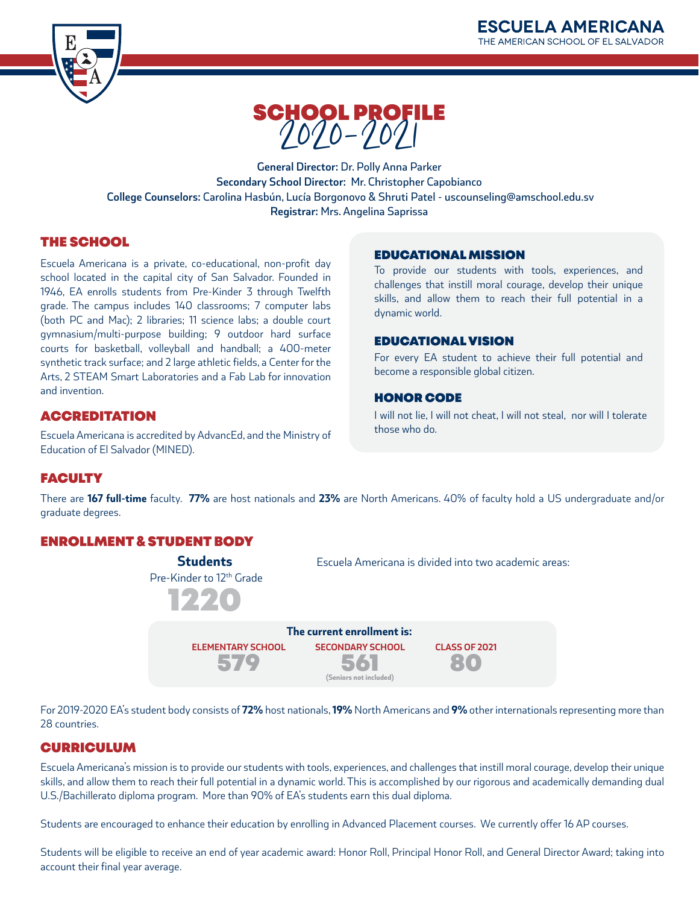



**General Director:** Dr. Polly Anna Parker **Secondary School Director:** Mr. Christopher Capobianco  **College Counselors:** Carolina Hasbún, Lucía Borgonovo & Shruti Patel - uscounseling@amschool.edu.sv **Registrar:** Mrs. Angelina Saprissa

# THE SCHOOL

Escuela Americana is a private, co-educational, non-profit day school located in the capital city of San Salvador. Founded in 1946, EA enrolls students from Pre-Kinder 3 through Twelfth grade. The campus includes 140 classrooms; 7 computer labs (both PC and Mac); 2 libraries; 11 science labs; a double court gymnasium/multi-purpose building; 9 outdoor hard surface courts for basketball, volleyball and handball; a 400-meter synthetic track surface; and 2 large athletic fields, a Center for the Arts, 2 STEAM Smart Laboratories and a Fab Lab for innovation and invention.

# **ACCREDITATION**

Escuela Americana is accredited by AdvancEd, and the Ministry of Education of El Salvador (MINED).

### EDUCATIONAL MISSION

To provide our students with tools, experiences, and challenges that instill moral courage, develop their unique skills, and allow them to reach their full potential in a dynamic world.

### EDUCATIONAL VISION

For every EA student to achieve their full potential and become a responsible global citizen.

### HONOR CODE

I will not lie, I will not cheat, I will not steal, nor will I tolerate those who do.

# **FACULTY**

There are **167 full-time** faculty. **77%** are host nationals and **23%** are North Americans. 40% of faculty hold a US undergraduate and/or graduate degrees.

# ENROLLMENT & STUDENT BODY

Pre-Kinder to 12<sup>th</sup> Grade **Students** 1220

Escuela Americana is divided into two academic areas:



For 2019-2020 EA's student body consists of **72%** host nationals, **19%** North Americans and **9%** other internationals representing more than 28 countries.

### **CURRICULUM**

Escuela Americana's mission is to provide our students with tools, experiences, and challenges that instill moral courage, develop their unique skills, and allow them to reach their full potential in a dynamic world. This is accomplished by our rigorous and academically demanding dual U.S./Bachillerato diploma program. More than 90% of EA's students earn this dual diploma.

Students are encouraged to enhance their education by enrolling in Advanced Placement courses. We currently offer 16 AP courses.

Students will be eligible to receive an end of year academic award: Honor Roll, Principal Honor Roll, and General Director Award; taking into account their final year average.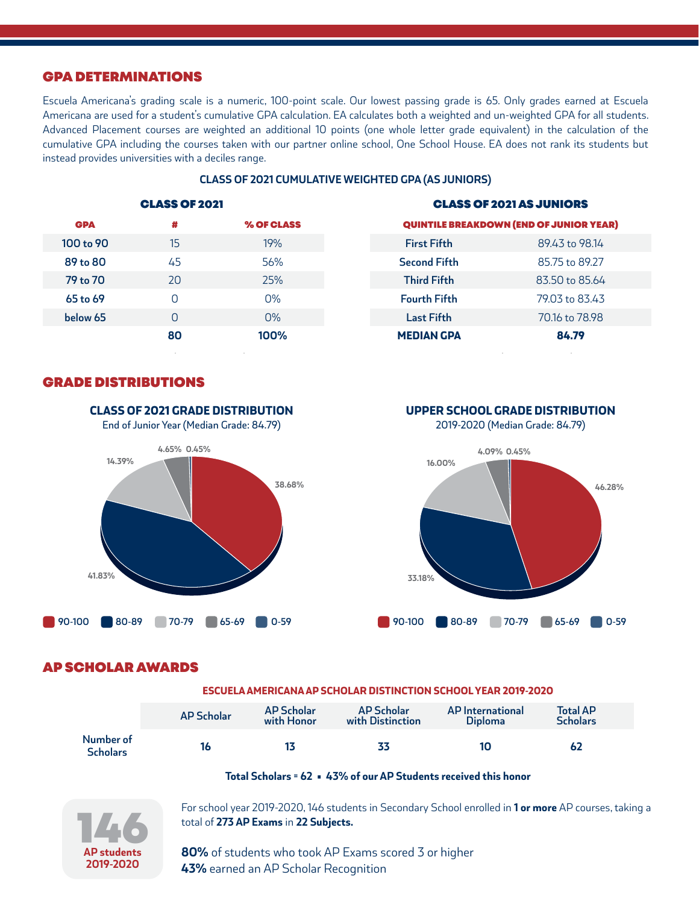### GPA DETERMINATIONS

Escuela Americana's grading scale is a numeric, 100-point scale. Our lowest passing grade is 65. Only grades earned at Escuela Americana are used for a student's cumulative GPA calculation. EA calculates both a weighted and un-weighted GPA for all students. Advanced Placement courses are weighted an additional 10 points (one whole letter grade equivalent) in the calculation of the cumulative GPA including the courses taken with our partner online school, One School House. EA does not rank its students but instead provides universities with a deciles range.

|            | <b>CLASS OF 2021</b> |                   |                                                | <b>CLASS OF 2021 AS JUNIORS</b> |  |
|------------|----------------------|-------------------|------------------------------------------------|---------------------------------|--|
| <b>GPA</b> | #                    | <b>% OF CLASS</b> | <b>QUINTILE BREAKDOWN (END OF JUNIOR YEAR)</b> |                                 |  |
| 100 to 90  | 15                   | 19%               | <b>First Fifth</b>                             | 89.43 to 98.14                  |  |
| 89 to 80   | 45                   | 56%               | <b>Second Fifth</b>                            | 85.75 to 89.27                  |  |
| 79 to 70   | 20                   | 25%               | <b>Third Fifth</b>                             | 83.50 to 85.64                  |  |
| 65 to 69   | 0                    | $O\%$             | <b>Fourth Fifth</b>                            | 79.03 to 83.43                  |  |
| below 65   | 0                    | O%                | <b>Last Fifth</b>                              | 70.16 to 78.98                  |  |
|            | 80                   | 100%              | <b>MEDIAN GPA</b>                              | 84.79                           |  |
|            |                      |                   |                                                |                                 |  |

### **CLASS OF 2021 CUMULATIVE WEIGHTED GPA (AS JUNIORS)**

### GRADE DISTRIBUTIONS



CLASS OF 2021 GRADE DISTRIBUTION



2019-2020 (Median Grade: 84.79)



### AP SCHOLAR AWARDS

#### ESCUELA AMERICANA AP SCHOLAR DISTINCTION SCHOOL YEAR 2019-2020

|                              | <b>AP Scholar</b> | <b>AP Scholar</b><br>with Honor | <b>AP Scholar</b><br>with Distinction | <b>AP</b> International<br><b>Diploma</b> | <b>Total AP</b><br><b>Scholars</b> |
|------------------------------|-------------------|---------------------------------|---------------------------------------|-------------------------------------------|------------------------------------|
| Number of<br><b>Scholars</b> |                   |                                 | 33                                    | 10                                        | 62                                 |

### **Total Scholars = 62 • 43% of our AP Students received this honor**



For school year 2019-2020, 146 students in Secondary School enrolled in **1 or more** AP courses, taking a total of **273 AP Exams** in **22 Subjects.**

**80%** of students who took AP Exams scored 3 or higher **43%** earned an AP Scholar Recognition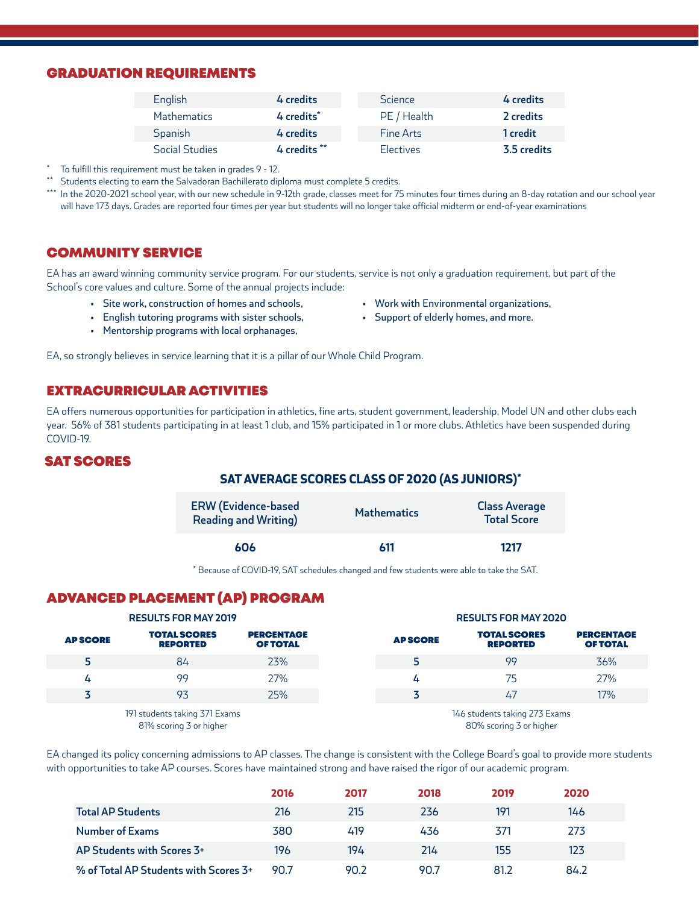### GRADUATION REQUIREMENTS

| English            | 4 credits              | <b>Science</b> | 4 credits   |
|--------------------|------------------------|----------------|-------------|
| <b>Mathematics</b> | 4 credits <sup>*</sup> | PE / Health    | 2 credits   |
| Spanish            | 4 credits              | Fine Arts      | 1 credit    |
| Social Studies     | 4 credits **           | Electives      | 3.5 credits |

To fulfill this requirement must be taken in grades 9 - 12.

\*\* Students electing to earn the Salvadoran Bachillerato diploma must complete 5 credits.

\*\*\* In the 2020-2021 school year, with our new schedule in 9-12th grade, classes meet for 75 minutes four times during an 8-day rotation and our school year will have 173 days. Grades are reported four times per year but students will no longer take official midterm or end-of-year examinations

## COMMUNITY SERVICE

EA has an award winning community service program. For our students, service is not only a graduation requirement, but part of the School's core values and culture. Some of the annual projects include:

- Site work, construction of homes and schools,
- English tutoring programs with sister schools,
- Mentorship programs with local orphanages,
- Work with Environmental organizations,
- Support of elderly homes, and more.

EA, so strongly believes in service learning that it is a pillar of our Whole Child Program.

## EXTRACURRICULAR ACTIVITIES

EA offers numerous opportunities for participation in athletics, fine arts, student government, leadership, Model UN and other clubs each year. 56% of 381 students participating in at least 1 club, and 15% participated in 1 or more clubs. Athletics have been suspended during COVID-19.

### SAT SCORES

### SAT AVERAGE SCORES CLASS OF 2020 (AS JUNIORS)\*

| <b>ERW</b> (Evidence-based<br><b>Reading and Writing)</b> | <b>Mathematics</b> | <b>Class Average</b><br><b>Total Score</b> |
|-----------------------------------------------------------|--------------------|--------------------------------------------|
| 606                                                       | 611                | 1217                                       |

\* Because of COVID-19, SAT schedules changed and few students were able to take the SAT.

# ADVANCED PLACEMENT (AP) PROGRAM

| <b>RESULTS FOR MAY 2019</b>                              |                                        |                                      | <b>RESULTS FOR MAY 2020</b>                              |                                        |                                      |
|----------------------------------------------------------|----------------------------------------|--------------------------------------|----------------------------------------------------------|----------------------------------------|--------------------------------------|
| <b>APSCORE</b>                                           | <b>TOTAL SCORES</b><br><b>REPORTED</b> | <b>PERCENTAGE</b><br><b>OF TOTAL</b> | <b>APSCORE</b>                                           | <b>TOTAL SCORES</b><br><b>REPORTED</b> | <b>PERCENTAGE</b><br><b>OF TOTAL</b> |
| 5                                                        | 84                                     | 23%                                  |                                                          | 99                                     | 36%                                  |
| 4                                                        | 99                                     | 27%                                  | 4                                                        | 75                                     | 27%                                  |
|                                                          | 93                                     | 25%                                  |                                                          | 47                                     | 17%                                  |
| 191 students taking 371 Exams<br>81% scoring 3 or higher |                                        |                                      | 146 students taking 273 Exams<br>80% scoring 3 or higher |                                        |                                      |

EA changed its policy concerning admissions to AP classes. The change is consistent with the College Board's goal to provide more students with opportunities to take AP courses. Scores have maintained strong and have raised the rigor of our academic program.

|                                       | 2016 | 2017 | 2018 | 2019 | 2020 |
|---------------------------------------|------|------|------|------|------|
| <b>Total AP Students</b>              | 216  | 215  | 236  | 191  | 146  |
| <b>Number of Exams</b>                | 380  | 419  | 436  | 371  | 273  |
| AP Students with Scores 3+            | 196  | 194  | 214  | 155  | 123  |
| % of Total AP Students with Scores 3+ | 90.7 | 90.2 | 90.7 | 81.2 | 84.2 |